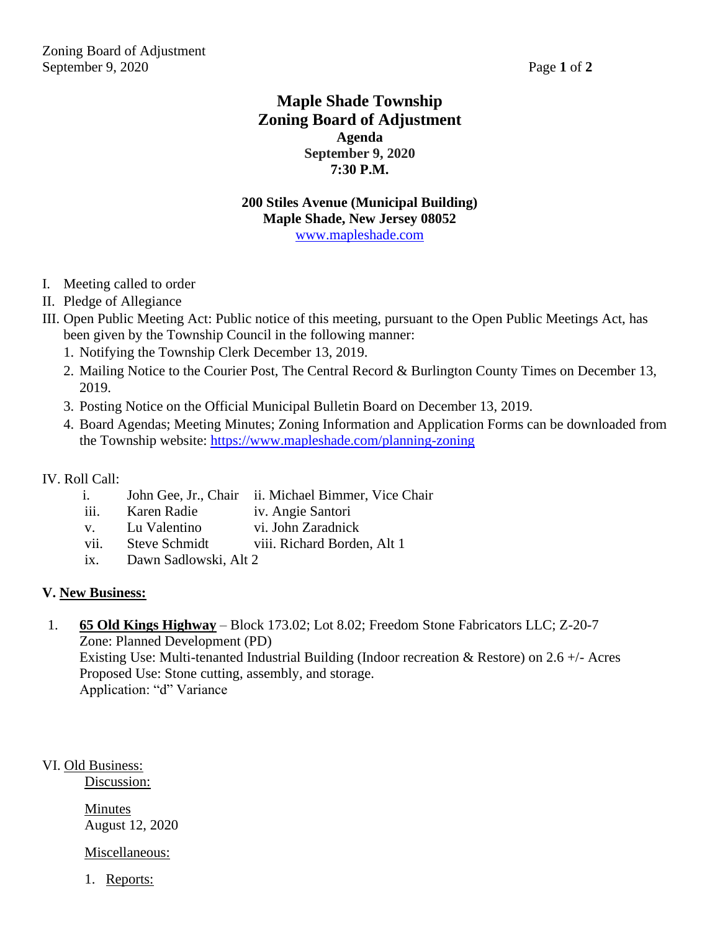# **Maple Shade Township Zoning Board of Adjustment Agenda September 9, 2020 7:30 P.M.**

### **200 Stiles Avenue (Municipal Building) Maple Shade, New Jersey 08052** [www.mapleshade.com](http://www.mapleshade.com/)

- I. Meeting called to order
- II. Pledge of Allegiance
- III. Open Public Meeting Act: Public notice of this meeting, pursuant to the Open Public Meetings Act, has been given by the Township Council in the following manner:
	- 1. Notifying the Township Clerk December 13, 2019.
	- 2. Mailing Notice to the Courier Post, The Central Record & Burlington County Times on December 13, 2019.
	- 3. Posting Notice on the Official Municipal Bulletin Board on December 13, 2019.
	- 4. Board Agendas; Meeting Minutes; Zoning Information and Application Forms can be downloaded from the Township website:<https://www.mapleshade.com/planning-zoning>

#### IV. Roll Call:

- i. John Gee, Jr., Chair ii. Michael Bimmer, Vice Chair
- iii. Karen Radie iv. Angie Santori
- v. Lu Valentino vi. John Zaradnick
- vii. Steve Schmidt viii. Richard Borden, Alt 1
- ix. Dawn Sadlowski, Alt 2

#### **V. New Business:**

1. **65 Old Kings Highway** – Block 173.02; Lot 8.02; Freedom Stone Fabricators LLC; Z-20-7 Zone: Planned Development (PD) Existing Use: Multi-tenanted Industrial Building (Indoor recreation & Restore) on 2.6 +/- Acres Proposed Use: Stone cutting, assembly, and storage. Application: "d" Variance

VI. Old Business:

Discussion:

Minutes August 12, 2020

Miscellaneous:

1. Reports: